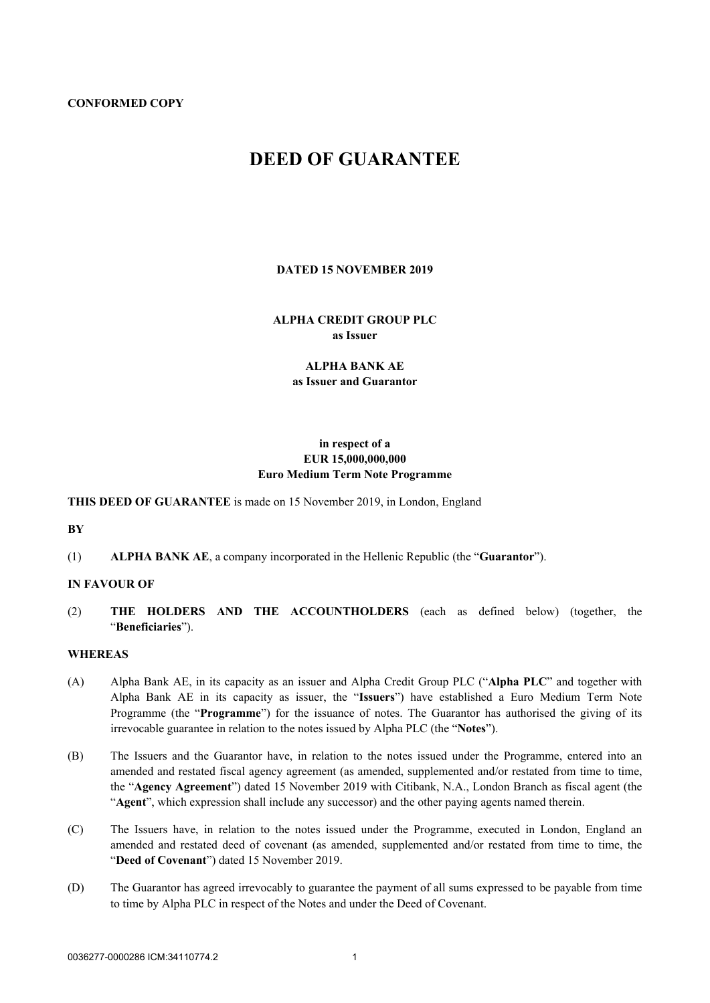#### **CONFORMED COPY**

# **DEED OF GUARANTEE**

#### **DATED 15 NOVEMBER 2019**

# **ALPHA CREDIT GROUP PLC as Issuer**

# **ALPHA BANK AE as Issuer and Guarantor**

# **in respect of a EUR 15,000,000,000 Euro Medium Term Note Programme**

## **THIS DEED OF GUARANTEE** is made on 15 November 2019, in London, England

**BY**

(1) **ALPHA BANK AE**, a company incorporated in the Hellenic Republic (the "**Guarantor**").

## **IN FAVOUR OF**

(2) **THE HOLDERS AND THE ACCOUNTHOLDERS** (each as defined below) (together, the "**Beneficiaries**").

## **WHEREAS**

- (A) Alpha Bank AE, in its capacity as an issuer and Alpha Credit Group PLC ("**Alpha PLC**" and together with Alpha Bank AE in its capacity as issuer, the "**Issuers**") have established a Euro Medium Term Note Programme (the "**Programme**") for the issuance of notes. The Guarantor has authorised the giving of its irrevocable guarantee in relation to the notes issued by Alpha PLC (the "**Notes**").
- (B) The Issuers and the Guarantor have, in relation to the notes issued under the Programme, entered into an amended and restated fiscal agency agreement (as amended, supplemented and/or restated from time to time, the "**Agency Agreement**") dated 15 November 2019 with Citibank, N.A., London Branch as fiscal agent (the "**Agent**", which expression shall include any successor) and the other paying agents named therein.
- (C) The Issuers have, in relation to the notes issued under the Programme, executed in London, England an amended and restated deed of covenant (as amended, supplemented and/or restated from time to time, the "**Deed of Covenant**") dated 15 November 2019.
- (D) The Guarantor has agreed irrevocably to guarantee the payment of all sums expressed to be payable from time to time by Alpha PLC in respect of the Notes and under the Deed of Covenant.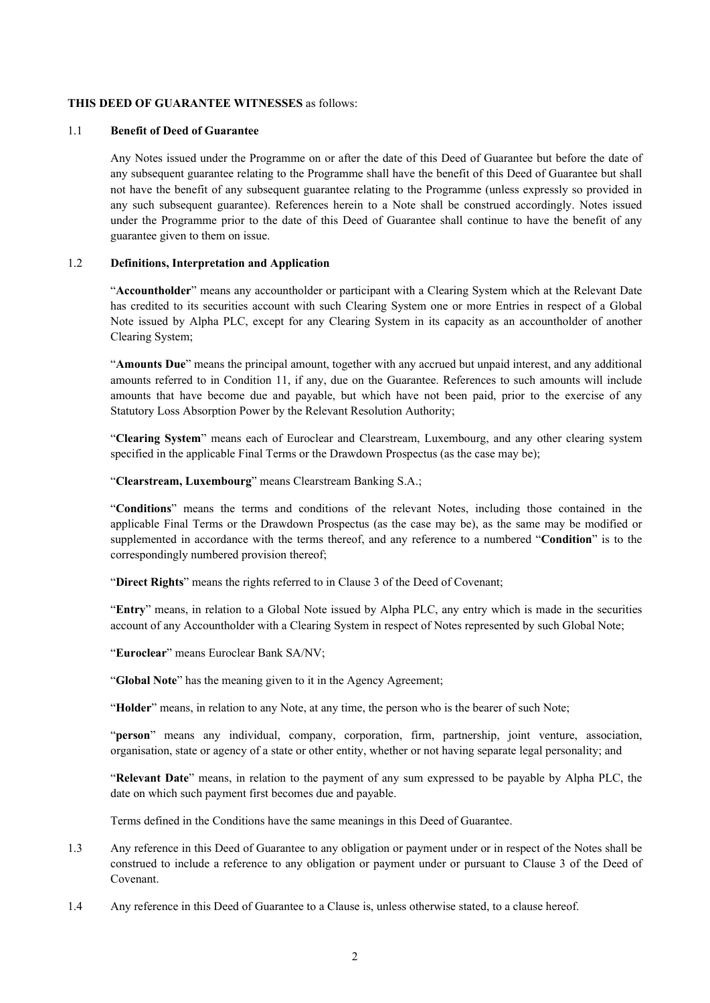#### **THIS DEED OF GUARANTEE WITNESSES** as follows:

#### 1.1 **Benefit of Deed of Guarantee**

Any Notes issued under the Programme on or after the date of this Deed of Guarantee but before the date of any subsequent guarantee relating to the Programme shall have the benefit of this Deed of Guarantee but shall not have the benefit of any subsequent guarantee relating to the Programme (unless expressly so provided in any such subsequent guarantee). References herein to a Note shall be construed accordingly. Notes issued under the Programme prior to the date of this Deed of Guarantee shall continue to have the benefit of any guarantee given to them on issue.

## 1.2 **Definitions, Interpretation and Application**

"**Accountholder**" means any accountholder or participant with a Clearing System which at the Relevant Date has credited to its securities account with such Clearing System one or more Entries in respect of a Global Note issued by Alpha PLC, except for any Clearing System in its capacity as an accountholder of another Clearing System;

"**Amounts Due**" means the principal amount, together with any accrued but unpaid interest, and any additional amounts referred to in Condition 11, if any, due on the Guarantee. References to such amounts will include amounts that have become due and payable, but which have not been paid, prior to the exercise of any Statutory Loss Absorption Power by the Relevant Resolution Authority;

"**Clearing System**" means each of Euroclear and Clearstream, Luxembourg, and any other clearing system specified in the applicable Final Terms or the Drawdown Prospectus (as the case may be);

"**Clearstream, Luxembourg**" means Clearstream Banking S.A.;

"**Conditions**" means the terms and conditions of the relevant Notes, including those contained in the applicable Final Terms or the Drawdown Prospectus (as the case may be), as the same may be modified or supplemented in accordance with the terms thereof, and any reference to a numbered "**Condition**" is to the correspondingly numbered provision thereof;

"**Direct Rights**" means the rights referred to in Clause 3 of the Deed of Covenant;

"**Entry**" means, in relation to a Global Note issued by Alpha PLC, any entry which is made in the securities account of any Accountholder with a Clearing System in respect of Notes represented by such Global Note;

"**Euroclear**" means Euroclear Bank SA/NV;

"**Global Note**" has the meaning given to it in the Agency Agreement;

"**Holder**" means, in relation to any Note, at any time, the person who is the bearer of such Note;

"**person**" means any individual, company, corporation, firm, partnership, joint venture, association, organisation, state or agency of a state or other entity, whether or not having separate legal personality; and

"**Relevant Date**" means, in relation to the payment of any sum expressed to be payable by Alpha PLC, the date on which such payment first becomes due and payable.

Terms defined in the Conditions have the same meanings in this Deed of Guarantee.

- 1.3 Any reference in this Deed of Guarantee to any obligation or payment under or in respect of the Notes shall be construed to include a reference to any obligation or payment under or pursuant to Clause 3 of the Deed of Covenant.
- 1.4 Any reference in this Deed of Guarantee to a Clause is, unless otherwise stated, to a clause hereof.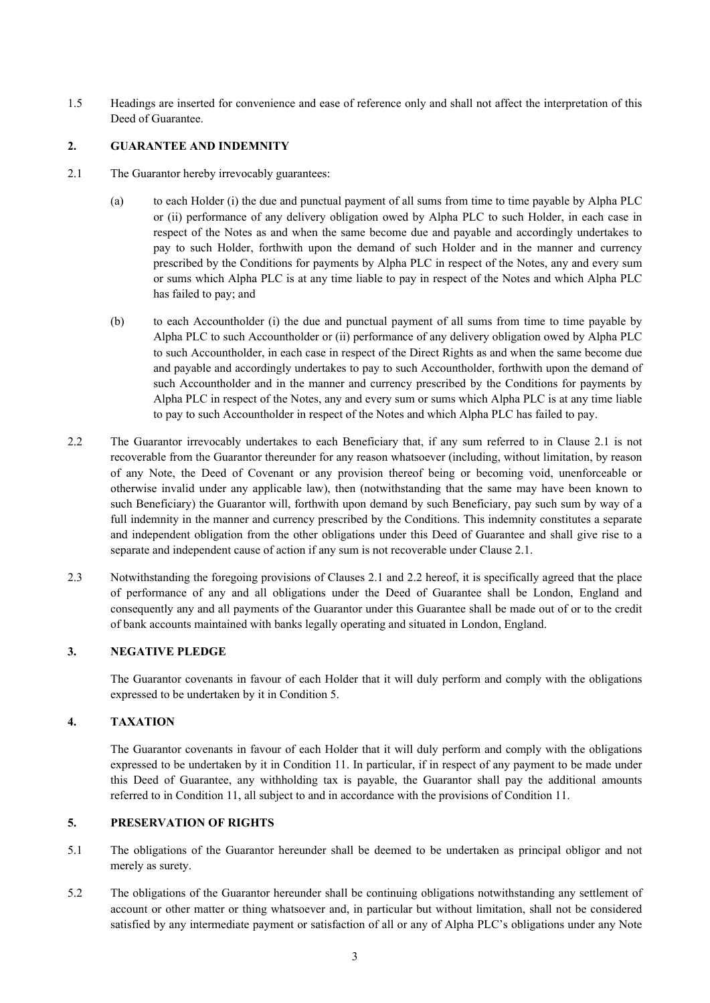1.5 Headings are inserted for convenience and ease of reference only and shall not affect the interpretation of this Deed of Guarantee.

# <span id="page-2-0"></span>**2. GUARANTEE AND INDEMNITY**

- 2.1 The Guarantor hereby irrevocably guarantees:
	- (a) to each Holder (i) the due and punctual payment of all sums from time to time payable by Alpha PLC or (ii) performance of any delivery obligation owed by Alpha PLC to such Holder, in each case in respect of the Notes as and when the same become due and payable and accordingly undertakes to pay to such Holder, forthwith upon the demand of such Holder and in the manner and currency prescribed by the Conditions for payments by Alpha PLC in respect of the Notes, any and every sum or sums which Alpha PLC is at any time liable to pay in respect of the Notes and which Alpha PLC has failed to pay; and
	- (b) to each Accountholder (i) the due and punctual payment of all sums from time to time payable by Alpha PLC to such Accountholder or (ii) performance of any delivery obligation owed by Alpha PLC to such Accountholder, in each case in respect of the Direct Rights as and when the same become due and payable and accordingly undertakes to pay to such Accountholder, forthwith upon the demand of such Accountholder and in the manner and currency prescribed by the Conditions for payments by Alpha PLC in respect of the Notes, any and every sum or sums which Alpha PLC is at any time liable to pay to such Accountholder in respect of the Notes and which Alpha PLC has failed to pay.
- <span id="page-2-1"></span>2.2 The Guarantor irrevocably undertakes to each Beneficiary that, if any sum referred to in Clause [2.1](#page-2-0) is not recoverable from the Guarantor thereunder for any reason whatsoever (including, without limitation, by reason of any Note, the Deed of Covenant or any provision thereof being or becoming void, unenforceable or otherwise invalid under any applicable law), then (notwithstanding that the same may have been known to such Beneficiary) the Guarantor will, forthwith upon demand by such Beneficiary, pay such sum by way of a full indemnity in the manner and currency prescribed by the Conditions. This indemnity constitutes a separate and independent obligation from the other obligations under this Deed of Guarantee and shall give rise to a separate and independent cause of action if any sum is not recoverable under Clause [2.1.](#page-2-0)
- 2.3 Notwithstanding the foregoing provisions of Clauses [2.1](#page-2-0) and [2.2](#page-2-1) hereof, it is specifically agreed that the place of performance of any and all obligations under the Deed of Guarantee shall be London, England and consequently any and all payments of the Guarantor under this Guarantee shall be made out of or to the credit of bank accounts maintained with banks legally operating and situated in London, England.

# **3. NEGATIVE PLEDGE**

The Guarantor covenants in favour of each Holder that it will duly perform and comply with the obligations expressed to be undertaken by it in Condition 5.

## **4. TAXATION**

The Guarantor covenants in favour of each Holder that it will duly perform and comply with the obligations expressed to be undertaken by it in Condition 11. In particular, if in respect of any payment to be made under this Deed of Guarantee, any withholding tax is payable, the Guarantor shall pay the additional amounts referred to in Condition 11, all subject to and in accordance with the provisions of Condition 11.

## **5. PRESERVATION OF RIGHTS**

- 5.1 The obligations of the Guarantor hereunder shall be deemed to be undertaken as principal obligor and not merely as surety.
- 5.2 The obligations of the Guarantor hereunder shall be continuing obligations notwithstanding any settlement of account or other matter or thing whatsoever and, in particular but without limitation, shall not be considered satisfied by any intermediate payment or satisfaction of all or any of Alpha PLC's obligations under any Note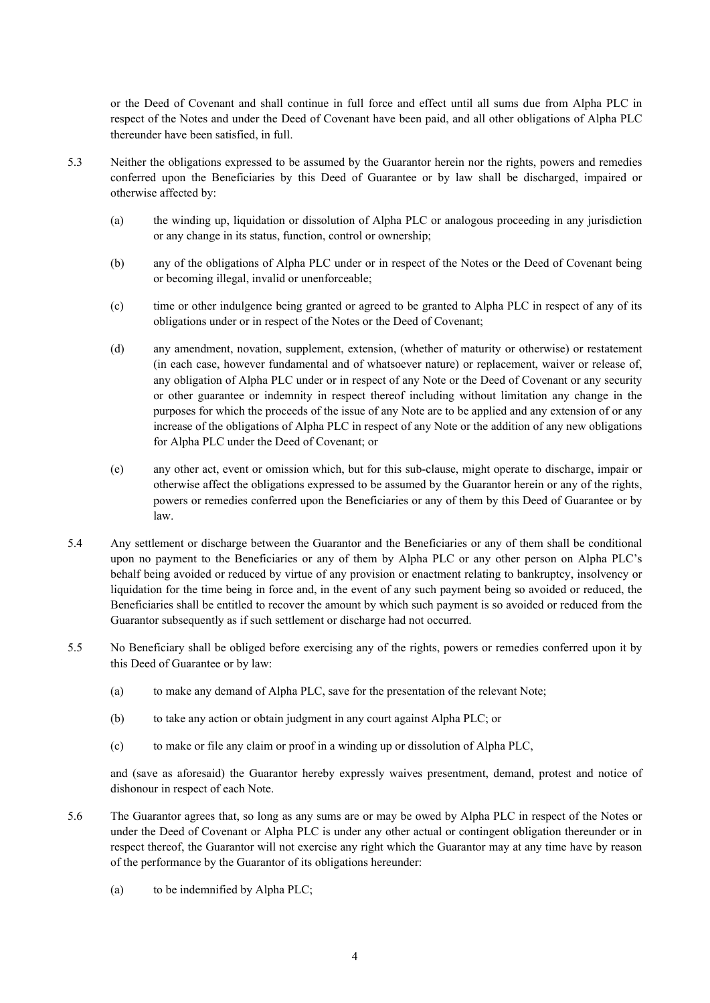or the Deed of Covenant and shall continue in full force and effect until all sums due from Alpha PLC in respect of the Notes and under the Deed of Covenant have been paid, and all other obligations of Alpha PLC thereunder have been satisfied, in full.

- 5.3 Neither the obligations expressed to be assumed by the Guarantor herein nor the rights, powers and remedies conferred upon the Beneficiaries by this Deed of Guarantee or by law shall be discharged, impaired or otherwise affected by:
	- (a) the winding up, liquidation or dissolution of Alpha PLC or analogous proceeding in any jurisdiction or any change in its status, function, control or ownership;
	- (b) any of the obligations of Alpha PLC under or in respect of the Notes or the Deed of Covenant being or becoming illegal, invalid or unenforceable;
	- (c) time or other indulgence being granted or agreed to be granted to Alpha PLC in respect of any of its obligations under or in respect of the Notes or the Deed of Covenant;
	- (d) any amendment, novation, supplement, extension, (whether of maturity or otherwise) or restatement (in each case, however fundamental and of whatsoever nature) or replacement, waiver or release of, any obligation of Alpha PLC under or in respect of any Note or the Deed of Covenant or any security or other guarantee or indemnity in respect thereof including without limitation any change in the purposes for which the proceeds of the issue of any Note are to be applied and any extension of or any increase of the obligations of Alpha PLC in respect of any Note or the addition of any new obligations for Alpha PLC under the Deed of Covenant; or
	- (e) any other act, event or omission which, but for this sub-clause, might operate to discharge, impair or otherwise affect the obligations expressed to be assumed by the Guarantor herein or any of the rights, powers or remedies conferred upon the Beneficiaries or any of them by this Deed of Guarantee or by law.
- 5.4 Any settlement or discharge between the Guarantor and the Beneficiaries or any of them shall be conditional upon no payment to the Beneficiaries or any of them by Alpha PLC or any other person on Alpha PLC's behalf being avoided or reduced by virtue of any provision or enactment relating to bankruptcy, insolvency or liquidation for the time being in force and, in the event of any such payment being so avoided or reduced, the Beneficiaries shall be entitled to recover the amount by which such payment is so avoided or reduced from the Guarantor subsequently as if such settlement or discharge had not occurred.
- 5.5 No Beneficiary shall be obliged before exercising any of the rights, powers or remedies conferred upon it by this Deed of Guarantee or by law:
	- (a) to make any demand of Alpha PLC, save for the presentation of the relevant Note;
	- (b) to take any action or obtain judgment in any court against Alpha PLC; or
	- (c) to make or file any claim or proof in a winding up or dissolution of Alpha PLC,

and (save as aforesaid) the Guarantor hereby expressly waives presentment, demand, protest and notice of dishonour in respect of each Note.

- 5.6 The Guarantor agrees that, so long as any sums are or may be owed by Alpha PLC in respect of the Notes or under the Deed of Covenant or Alpha PLC is under any other actual or contingent obligation thereunder or in respect thereof, the Guarantor will not exercise any right which the Guarantor may at any time have by reason of the performance by the Guarantor of its obligations hereunder:
	- (a) to be indemnified by Alpha PLC;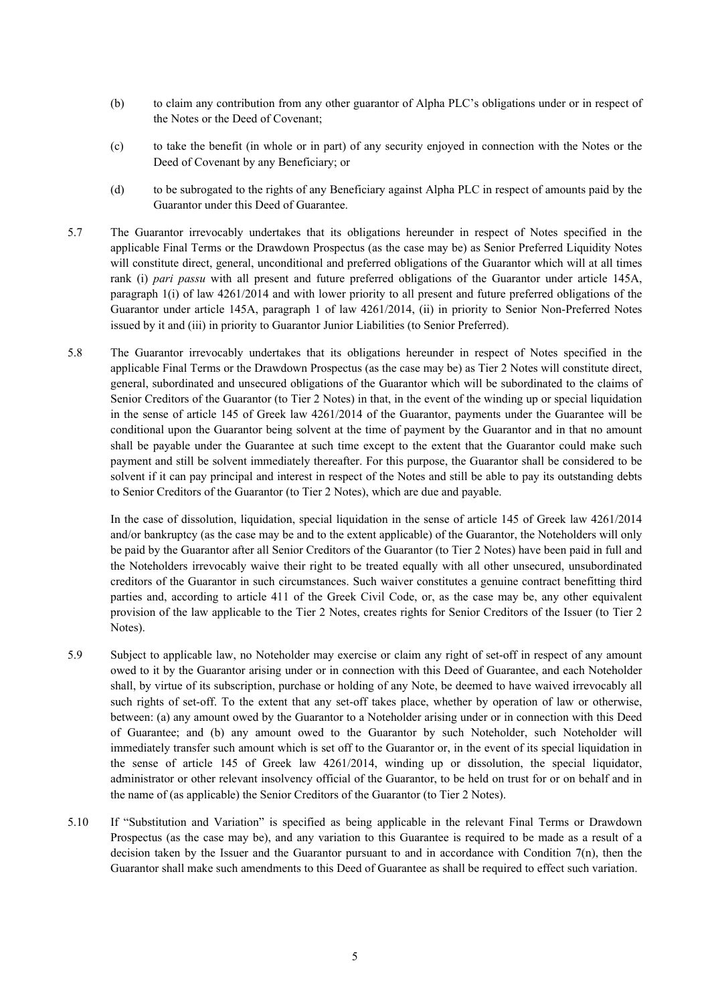- (b) to claim any contribution from any other guarantor of Alpha PLC's obligations under or in respect of the Notes or the Deed of Covenant;
- (c) to take the benefit (in whole or in part) of any security enjoyed in connection with the Notes or the Deed of Covenant by any Beneficiary; or
- (d) to be subrogated to the rights of any Beneficiary against Alpha PLC in respect of amounts paid by the Guarantor under this Deed of Guarantee.
- 5.7 The Guarantor irrevocably undertakes that its obligations hereunder in respect of Notes specified in the applicable Final Terms or the Drawdown Prospectus (as the case may be) as Senior Preferred Liquidity Notes will constitute direct, general, unconditional and preferred obligations of the Guarantor which will at all times rank (i) *pari passu* with all present and future preferred obligations of the Guarantor under article 145A, paragraph 1(i) of law 4261/2014 and with lower priority to all present and future preferred obligations of the Guarantor under article 145A, paragraph 1 of law 4261/2014, (ii) in priority to Senior Non-Preferred Notes issued by it and (iii) in priority to Guarantor Junior Liabilities (to Senior Preferred).
- <span id="page-4-0"></span>5.8 The Guarantor irrevocably undertakes that its obligations hereunder in respect of Notes specified in the applicable Final Terms or the Drawdown Prospectus (as the case may be) as Tier 2 Notes will constitute direct, general, subordinated and unsecured obligations of the Guarantor which will be subordinated to the claims of Senior Creditors of the Guarantor (to Tier 2 Notes) in that, in the event of the winding up or special liquidation in the sense of article 145 of Greek law 4261/2014 of the Guarantor, payments under the Guarantee will be conditional upon the Guarantor being solvent at the time of payment by the Guarantor and in that no amount shall be payable under the Guarantee at such time except to the extent that the Guarantor could make such payment and still be solvent immediately thereafter. For this purpose, the Guarantor shall be considered to be solvent if it can pay principal and interest in respect of the Notes and still be able to pay its outstanding debts to Senior Creditors of the Guarantor (to Tier 2 Notes), which are due and payable.

In the case of dissolution, liquidation, special liquidation in the sense of article 145 of Greek law 4261/2014 and/or bankruptcy (as the case may be and to the extent applicable) of the Guarantor, the Noteholders will only be paid by the Guarantor after all Senior Creditors of the Guarantor (to Tier 2 Notes) have been paid in full and the Noteholders irrevocably waive their right to be treated equally with all other unsecured, unsubordinated creditors of the Guarantor in such circumstances. Such waiver constitutes a genuine contract benefitting third parties and, according to article 411 of the Greek Civil Code, or, as the case may be, any other equivalent provision of the law applicable to the Tier 2 Notes, creates rights for Senior Creditors of the Issuer (to Tier 2 Notes).

- 5.9 Subject to applicable law, no Noteholder may exercise or claim any right of set-off in respect of any amount owed to it by the Guarantor arising under or in connection with this Deed of Guarantee, and each Noteholder shall, by virtue of its subscription, purchase or holding of any Note, be deemed to have waived irrevocably all such rights of set-off. To the extent that any set-off takes place, whether by operation of law or otherwise, between: (a) any amount owed by the Guarantor to a Noteholder arising under or in connection with this Deed of Guarantee; and (b) any amount owed to the Guarantor by such Noteholder, such Noteholder will immediately transfer such amount which is set off to the Guarantor or, in the event of its special liquidation in the sense of article 145 of Greek law 4261/2014, winding up or dissolution, the special liquidator, administrator or other relevant insolvency official of the Guarantor, to be held on trust for or on behalf and in the name of (as applicable) the Senior Creditors of the Guarantor (to Tier 2 Notes).
- 5.10 If "Substitution and Variation" is specified as being applicable in the relevant Final Terms or Drawdown Prospectus (as the case may be), and any variation to this Guarantee is required to be made as a result of a decision taken by the Issuer and the Guarantor pursuant to and in accordance with Condition 7(n), then the Guarantor shall make such amendments to this Deed of Guarantee as shall be required to effect such variation.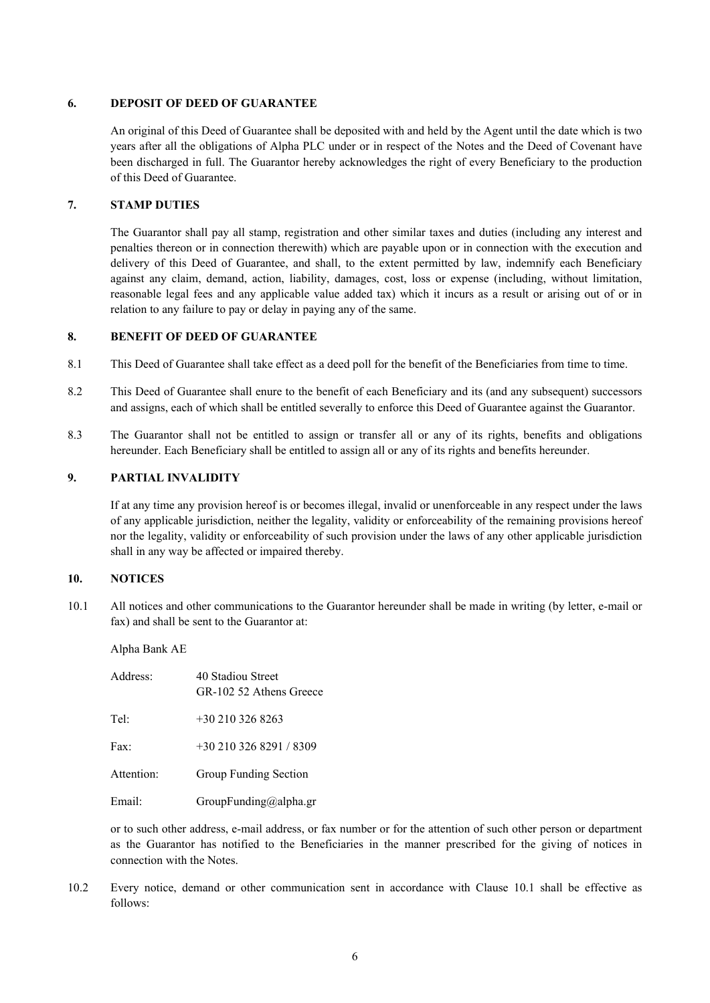#### **6. DEPOSIT OF DEED OF GUARANTEE**

An original of this Deed of Guarantee shall be deposited with and held by the Agent until the date which is two years after all the obligations of Alpha PLC under or in respect of the Notes and the Deed of Covenant have been discharged in full. The Guarantor hereby acknowledges the right of every Beneficiary to the production of this Deed of Guarantee.

# **7. STAMP DUTIES**

The Guarantor shall pay all stamp, registration and other similar taxes and duties (including any interest and penalties thereon or in connection therewith) which are payable upon or in connection with the execution and delivery of this Deed of Guarantee, and shall, to the extent permitted by law, indemnify each Beneficiary against any claim, demand, action, liability, damages, cost, loss or expense (including, without limitation, reasonable legal fees and any applicable value added tax) which it incurs as a result or arising out of or in relation to any failure to pay or delay in paying any of the same.

# **8. BENEFIT OF DEED OF GUARANTEE**

- 8.1 This Deed of Guarantee shall take effect as a deed poll for the benefit of the Beneficiaries from time to time.
- 8.2 This Deed of Guarantee shall enure to the benefit of each Beneficiary and its (and any subsequent) successors and assigns, each of which shall be entitled severally to enforce this Deed of Guarantee against the Guarantor.
- 8.3 The Guarantor shall not be entitled to assign or transfer all or any of its rights, benefits and obligations hereunder. Each Beneficiary shall be entitled to assign all or any of its rights and benefits hereunder.

# **9. PARTIAL INVALIDITY**

If at any time any provision hereof is or becomes illegal, invalid or unenforceable in any respect under the laws of any applicable jurisdiction, neither the legality, validity or enforceability of the remaining provisions hereof nor the legality, validity or enforceability of such provision under the laws of any other applicable jurisdiction shall in any way be affected or impaired thereby.

# <span id="page-5-0"></span>**10. NOTICES**

10.1 All notices and other communications to the Guarantor hereunder shall be made in writing (by letter, e-mail or fax) and shall be sent to the Guarantor at:

Alpha Bank AE

| Address:   | 40 Stadiou Street<br>GR-102 52 Athens Greece |
|------------|----------------------------------------------|
| Tel:       | $+302103268263$                              |
| Fax:       | $+302103268291/8309$                         |
| Attention: | Group Funding Section                        |
| Email:     | GroupFunding@alpha.gr                        |

or to such other address, e-mail address, or fax number or for the attention of such other person or department as the Guarantor has notified to the Beneficiaries in the manner prescribed for the giving of notices in connection with the Notes.

10.2 Every notice, demand or other communication sent in accordance with Clause [10.1](#page-5-0) shall be effective as follows: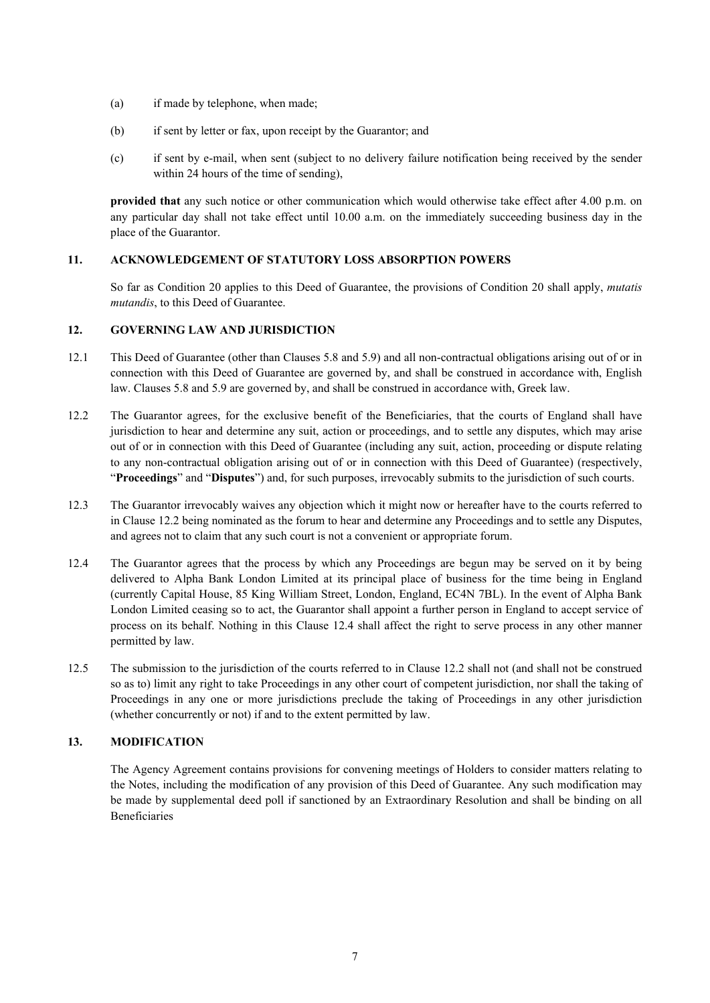- (a) if made by telephone, when made;
- (b) if sent by letter or fax, upon receipt by the Guarantor; and
- (c) if sent by e-mail, when sent (subject to no delivery failure notification being received by the sender within 24 hours of the time of sending),

**provided that** any such notice or other communication which would otherwise take effect after 4.00 p.m. on any particular day shall not take effect until 10.00 a.m. on the immediately succeeding business day in the place of the Guarantor.

# **11. ACKNOWLEDGEMENT OF STATUTORY LOSS ABSORPTION POWERS**

So far as Condition 20 applies to this Deed of Guarantee, the provisions of Condition 20 shall apply, *mutatis mutandis*, to this Deed of Guarantee.

# **12. GOVERNING LAW AND JURISDICTION**

- 12.1 This Deed of Guarantee (other than Clauses [5.8](#page-4-0) and 5.9) and all non-contractual obligations arising out of or in connection with this Deed of Guarantee are governed by, and shall be construed in accordance with, English law. Clauses [5.8](#page-4-0) and 5.9 are governed by, and shall be construed in accordance with, Greek law.
- <span id="page-6-0"></span>12.2 The Guarantor agrees, for the exclusive benefit of the Beneficiaries, that the courts of England shall have jurisdiction to hear and determine any suit, action or proceedings, and to settle any disputes, which may arise out of or in connection with this Deed of Guarantee (including any suit, action, proceeding or dispute relating to any non-contractual obligation arising out of or in connection with this Deed of Guarantee) (respectively, "**Proceedings**" and "**Disputes**") and, for such purposes, irrevocably submits to the jurisdiction of such courts.
- 12.3 The Guarantor irrevocably waives any objection which it might now or hereafter have to the courts referred to in Clause [12.2](#page-6-0) being nominated as the forum to hear and determine any Proceedings and to settle any Disputes, and agrees not to claim that any such court is not a convenient or appropriate forum.
- 12.4 The Guarantor agrees that the process by which any Proceedings are begun may be served on it by being delivered to Alpha Bank London Limited at its principal place of business for the time being in England (currently Capital House, 85 King William Street, London, England, EC4N 7BL). In the event of Alpha Bank London Limited ceasing so to act, the Guarantor shall appoint a further person in England to accept service of process on its behalf. Nothing in this Clause 12.4 shall affect the right to serve process in any other manner permitted by law.
- 12.5 The submission to the jurisdiction of the courts referred to in Clause [12.2](#page-6-0) shall not (and shall not be construed so as to) limit any right to take Proceedings in any other court of competent jurisdiction, nor shall the taking of Proceedings in any one or more jurisdictions preclude the taking of Proceedings in any other jurisdiction (whether concurrently or not) if and to the extent permitted by law.

## **13. MODIFICATION**

The Agency Agreement contains provisions for convening meetings of Holders to consider matters relating to the Notes, including the modification of any provision of this Deed of Guarantee. Any such modification may be made by supplemental deed poll if sanctioned by an Extraordinary Resolution and shall be binding on all Beneficiaries